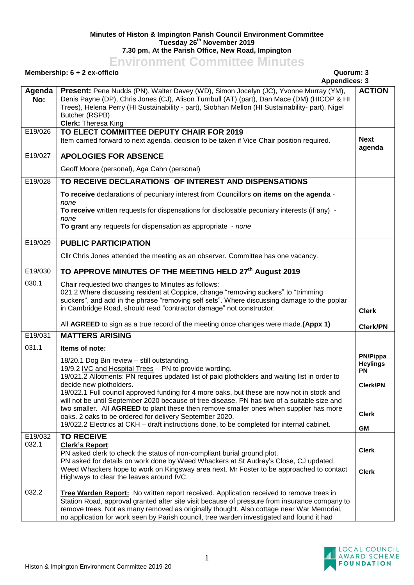## **Minutes of Histon & Impington Parish Council Environment Committee Tuesday 26 th November 2019 7.30 pm, At the Parish Office, New Road, Impington**

## **Environment Committee Minutes**

## **Membership: 6 + 2 ex-officio Quorum: 3**

|                           | <b>INCITIVE SITING</b> $\mathbf{v}$ <b>T</b> $\mathbf{z}$ CA-UTICIU<br>wuvrum. J<br><b>Appendices: 3</b>                                                                                                                                                                                                                                                                                                                                                                                                                                                                                                                                                                                             |                                                                                                 |
|---------------------------|------------------------------------------------------------------------------------------------------------------------------------------------------------------------------------------------------------------------------------------------------------------------------------------------------------------------------------------------------------------------------------------------------------------------------------------------------------------------------------------------------------------------------------------------------------------------------------------------------------------------------------------------------------------------------------------------------|-------------------------------------------------------------------------------------------------|
| Agenda<br>No:             | Present: Pene Nudds (PN), Walter Davey (WD), Simon Jocelyn (JC), Yvonne Murray (YM),<br>Denis Payne (DP), Chris Jones (CJ), Alison Turnbull (AT) (part), Dan Mace (DM) (HICOP & HI<br>Trees), Helena Perry (HI Sustainability - part), Siobhan Mellon (HI Sustainability- part), Nigel<br>Butcher (RSPB)<br><b>Clerk: Theresa King</b>                                                                                                                                                                                                                                                                                                                                                               | <b>ACTION</b>                                                                                   |
| E19/026                   | TO ELECT COMMITTEE DEPUTY CHAIR FOR 2019<br>Item carried forward to next agenda, decision to be taken if Vice Chair position required.                                                                                                                                                                                                                                                                                                                                                                                                                                                                                                                                                               | <b>Next</b><br>agenda                                                                           |
| E19/027                   | <b>APOLOGIES FOR ABSENCE</b>                                                                                                                                                                                                                                                                                                                                                                                                                                                                                                                                                                                                                                                                         |                                                                                                 |
|                           | Geoff Moore (personal), Aga Cahn (personal)                                                                                                                                                                                                                                                                                                                                                                                                                                                                                                                                                                                                                                                          |                                                                                                 |
| E19/028                   | TO RECEIVE DECLARATIONS OF INTEREST AND DISPENSATIONS                                                                                                                                                                                                                                                                                                                                                                                                                                                                                                                                                                                                                                                |                                                                                                 |
|                           | To receive declarations of pecuniary interest from Councillors on items on the agenda -<br>none<br>To receive written requests for dispensations for disclosable pecuniary interests (if any) -                                                                                                                                                                                                                                                                                                                                                                                                                                                                                                      |                                                                                                 |
|                           | none<br>To grant any requests for dispensation as appropriate - none                                                                                                                                                                                                                                                                                                                                                                                                                                                                                                                                                                                                                                 |                                                                                                 |
| E19/029                   | <b>PUBLIC PARTICIPATION</b>                                                                                                                                                                                                                                                                                                                                                                                                                                                                                                                                                                                                                                                                          |                                                                                                 |
|                           | Cllr Chris Jones attended the meeting as an observer. Committee has one vacancy.                                                                                                                                                                                                                                                                                                                                                                                                                                                                                                                                                                                                                     |                                                                                                 |
| E19/030                   | TO APPROVE MINUTES OF THE MEETING HELD 27 <sup>th</sup> August 2019                                                                                                                                                                                                                                                                                                                                                                                                                                                                                                                                                                                                                                  |                                                                                                 |
| 030.1                     | Chair requested two changes to Minutes as follows:<br>021.2 Where discussing resident at Coppice, change "removing suckers" to "trimming<br>suckers", and add in the phrase "removing self sets". Where discussing damage to the poplar<br>in Cambridge Road, should read "contractor damage" not constructor.                                                                                                                                                                                                                                                                                                                                                                                       | <b>Clerk</b>                                                                                    |
|                           | All AGREED to sign as a true record of the meeting once changes were made. (Appx 1)                                                                                                                                                                                                                                                                                                                                                                                                                                                                                                                                                                                                                  | <b>Clerk/PN</b>                                                                                 |
| E19/031                   | <b>MATTERS ARISING</b>                                                                                                                                                                                                                                                                                                                                                                                                                                                                                                                                                                                                                                                                               |                                                                                                 |
| 031.1                     | Items of note:<br>18/20.1 Dog Bin review - still outstanding.<br>19/9.2 IVC and Hospital Trees - PN to provide wording.<br>19/021.2 Allotments: PN requires updated list of paid plotholders and waiting list in order to<br>decide new plotholders.<br>19/022.1 Full council approved funding for 4 more oaks, but these are now not in stock and<br>will not be until September 2020 because of tree disease. PN has two of a suitable size and<br>two smaller. All AGREED to plant these then remove smaller ones when supplier has more<br>oaks. 2 oaks to be ordered for delivery September 2020.<br>19/022.2 Electrics at CKH - draft instructions done, to be completed for internal cabinet. | <b>PN/Pippa</b><br><b>Heylings</b><br><b>PN</b><br><b>Clerk/PN</b><br><b>Clerk</b><br><b>GM</b> |
| E19/032<br>032.1<br>032.2 | <b>TO RECEIVE</b><br><b>Clerk's Report:</b><br>PN asked clerk to check the status of non-compliant burial ground plot.<br>PN asked for details on work done by Weed Whackers at St Audrey's Close, CJ updated.<br>Weed Whackers hope to work on Kingsway area next. Mr Foster to be approached to contact<br>Highways to clear the leaves around IVC.<br>Tree Warden Report: No written report received. Application received to remove trees in                                                                                                                                                                                                                                                     | <b>Clerk</b><br><b>Clerk</b>                                                                    |
|                           | Station Road, approval granted after site visit because of pressure from insurance company to<br>remove trees. Not as many removed as originally thought. Also cottage near War Memorial,<br>no application for work seen by Parish council, tree warden investigated and found it had                                                                                                                                                                                                                                                                                                                                                                                                               |                                                                                                 |

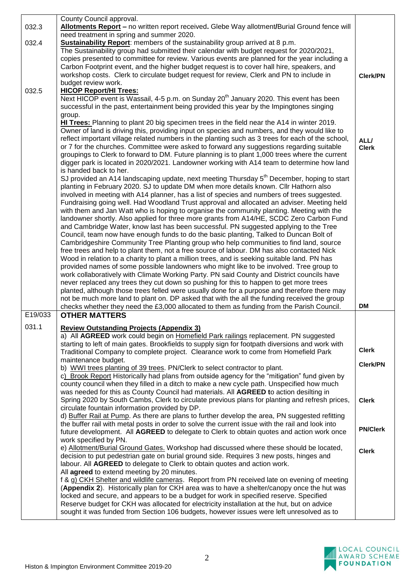|         | County Council approval.                                                                               |                 |
|---------|--------------------------------------------------------------------------------------------------------|-----------------|
| 032.3   | Allotments Report - no written report received. Glebe Way allotment/Burial Ground fence will           |                 |
|         | need treatment in spring and summer 2020.                                                              |                 |
| 032.4   | Sustainability Report: members of the sustainability group arrived at 8 p.m.                           |                 |
|         | The Sustainability group had submitted their calendar with budget request for 2020/2021,               |                 |
|         | copies presented to committee for review. Various events are planned for the year including a          |                 |
|         | Carbon Footprint event, and the higher budget request is to cover hall hire, speakers, and             |                 |
|         | workshop costs. Clerk to circulate budget request for review, Clerk and PN to include in               | <b>Clerk/PN</b> |
|         | budget review work.                                                                                    |                 |
| 032.5   | <b>HICOP Report/HI Trees:</b>                                                                          |                 |
|         | Next HICOP event is Wassail, 4-5 p.m. on Sunday 20 <sup>th</sup> January 2020. This event has been     |                 |
|         | successful in the past, entertainment being provided this year by the Impingtones singing              |                 |
|         | group.                                                                                                 |                 |
|         | HI Trees: Planning to plant 20 big specimen trees in the field near the A14 in winter 2019.            |                 |
|         |                                                                                                        |                 |
|         | Owner of land is driving this, providing input on species and numbers, and they would like to          |                 |
|         | reflect important village related numbers in the planting such as 3 trees for each of the school,      | ALL/            |
|         | or 7 for the churches. Committee were asked to forward any suggestions regarding suitable              | <b>Clerk</b>    |
|         | groupings to Clerk to forward to DM. Future planning is to plant 1,000 trees where the current         |                 |
|         | digger park is located in 2020/2021. Landowner working with A14 team to determine how land             |                 |
|         | is handed back to her.                                                                                 |                 |
|         | SJ provided an A14 landscaping update, next meeting Thursday 5 <sup>th</sup> December, hoping to start |                 |
|         | planting in February 2020. SJ to update DM when more details known. Cllr Hathorn also                  |                 |
|         | involved in meeting with A14 planner, has a list of species and numbers of trees suggested.            |                 |
|         | Fundraising going well. Had Woodland Trust approval and allocated an adviser. Meeting held             |                 |
|         | with them and Jan Watt who is hoping to organise the community planting. Meeting with the              |                 |
|         | landowner shortly. Also applied for three more grants from A14/HE, SCDC Zero Carbon Fund               |                 |
|         | and Cambridge Water, know last has been successful. PN suggested applying to the Tree                  |                 |
|         | Council, team now have enough funds to do the basic planting, Talked to Duncan Bolt of                 |                 |
|         | Cambridgeshire Community Tree Planting group who help communities to find land, source                 |                 |
|         | free trees and help to plant them, not a free source of labour. DM has also contacted Nick             |                 |
|         | Wood in relation to a charity to plant a million trees, and is seeking suitable land. PN has           |                 |
|         | provided names of some possible landowners who might like to be involved. Tree group to                |                 |
|         |                                                                                                        |                 |
|         |                                                                                                        |                 |
|         | work collaboratively with Climate Working Party. PN said County and District councils have             |                 |
|         | never replaced any trees they cut down so pushing for this to happen to get more trees                 |                 |
|         | planted, although those trees felled were usually done for a purpose and therefore there may           |                 |
|         | not be much more land to plant on. DP asked that with the all the funding received the group           | <b>DM</b>       |
|         | checks whether they need the £3,000 allocated to them as funding from the Parish Council.              |                 |
| E19/033 | <b>OTHER MATTERS</b>                                                                                   |                 |
| 031.1   | <b>Review Outstanding Projects (Appendix 3)</b>                                                        |                 |
|         | a) All AGREED work could begin on Homefield Park railings replacement. PN suggested                    |                 |
|         | starting to left of main gates. Brookfields to supply sign for footpath diversions and work with       |                 |
|         | Traditional Company to complete project. Clearance work to come from Homefield Park                    | <b>Clerk</b>    |
|         | maintenance budget.                                                                                    |                 |
|         | b) WWI trees planting of 39 trees. PN/Clerk to select contractor to plant.                             | <b>Clerk/PN</b> |
|         | c) Brook Report Historically had plans from outside agency for the "mitigation" fund given by          |                 |
|         | county council when they filled in a ditch to make a new cycle path. Unspecified how much              |                 |
|         | was needed for this as County Council had materials. All AGREED to action desilting in                 |                 |
|         | Spring 2020 by South Cambs, Clerk to circulate previous plans for planting and refresh prices,         | <b>Clerk</b>    |
|         | circulate fountain information provided by DP.                                                         |                 |
|         | d) Buffer Rail at Pump. As there are plans to further develop the area, PN suggested refitting         |                 |
|         | the buffer rail with metal posts in order to solve the current issue with the rail and look into       |                 |
|         | future development. All AGREED to delegate to Clerk to obtain quotes and action work once              | <b>PN/Clerk</b> |
|         | work specified by PN.                                                                                  |                 |
|         | e) Allotment/Burial Ground Gates. Workshop had discussed where these should be located,                |                 |
|         | decision to put pedestrian gate on burial ground side. Requires 3 new posts, hinges and                | <b>Clerk</b>    |
|         | labour. All AGREED to delegate to Clerk to obtain quotes and action work.                              |                 |
|         | All agreed to extend meeting by 20 minutes.                                                            |                 |
|         | f & g) CKH Shelter and wildlife cameras. Report from PN received late on evening of meeting            |                 |
|         | (Appendix 2). Historically plan for CKH area was to have a shelter/canopy once the hut was             |                 |
|         | locked and secure, and appears to be a budget for work in specified reserve. Specified                 |                 |
|         | Reserve budget for CKH was allocated for electricity installation at the hut, but on advice            |                 |
|         | sought it was funded from Section 106 budgets, however issues were left unresolved as to               |                 |